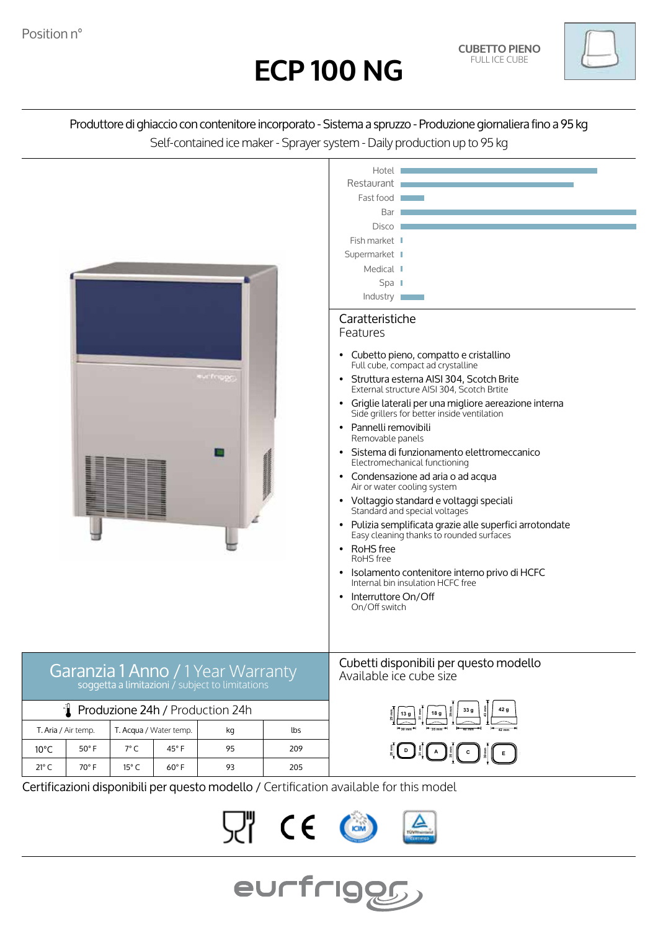



Produttore di ghiaccio con contenitore incorporato - Sistema a spruzzo - Produzione giornaliera fino a 95 kg Self-contained ice maker - Sprayer system - Daily production up to 95 kg



 $C \in$ 

eurfriggg